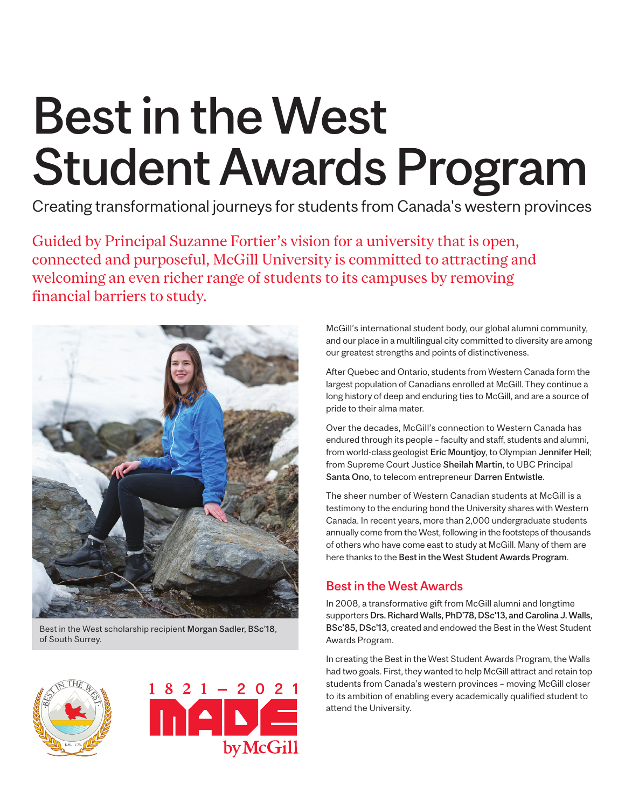# Best in the West Student Awards Program

Creating transformational journeys for students from Canada's western provinces

Guided by Principal Suzanne Fortier's vision for a university that is open, connected and purposeful, McGill University is committed to attracting and welcoming an even richer range of students to its campuses by removing financial barriers to study.



Best in the West scholarship recipient Morgan Sadler, BSc'18, of South Surrey.





McGill's international student body, our global alumni community, and our place in a multilingual city committed to diversity are among our greatest strengths and points of distinctiveness.

After Quebec and Ontario, students from Western Canada form the largest population of Canadians enrolled at McGill. They continue a long history of deep and enduring ties to McGill, and are a source of pride to their alma mater.

Over the decades, McGill's connection to Western Canada has endured through its people – faculty and staff, students and alumni, from world-class geologist Eric Mountjoy, to Olympian Jennifer Heil; from Supreme Court Justice Sheilah Martin, to UBC Principal Santa Ono, to telecom entrepreneur Darren Entwistle.

The sheer number of Western Canadian students at McGill is a testimony to the enduring bond the University shares with Western Canada. In recent years, more than 2,000 undergraduate students annually come from the West, following in the footsteps of thousands of others who have come east to study at McGill. Many of them are here thanks to the Best in the West Student Awards Program.

### Best in the West Awards

In 2008, a transformative gift from McGill alumni and longtime supporters Drs. Richard Walls, PhD'78, DSc'13, and Carolina J. Walls, BSc'85, DSc'13, created and endowed the Best in the West Student Awards Program.

In creating the Best in the West Student Awards Program, the Walls had two goals. First, they wanted to help McGill attract and retain top students from Canada's western provinces – moving McGill closer to its ambition of enabling every academically qualified student to attend the University.